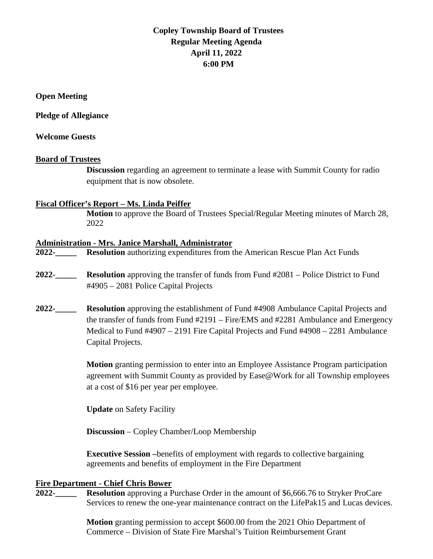# **Copley Township Board of Trustees Regular Meeting Agenda April 11, 2022 6:00 PM**

**Open Meeting**

**Pledge of Allegiance** 

#### **Welcome Guests**

#### **Board of Trustees**

**Discussion** regarding an agreement to terminate a lease with Summit County for radio equipment that is now obsolete.

#### **Fiscal Officer's Report – Ms. Linda Peiffer**

**Motion** to approve the Board of Trustees Special/Regular Meeting minutes of March 28, 2022

#### **Administration - Mrs. Janice Marshall, Administrator**

**2022-\_\_\_\_\_ Resolution** authorizing expenditures from the American Rescue Plan Act Funds

- **2022-\_\_\_\_\_ Resolution** approving the transfer of funds from Fund #2081 Police District to Fund #4905 – 2081 Police Capital Projects
- **2022-\_\_\_\_\_ Resolution** approving the establishment of Fund #4908 Ambulance Capital Projects and the transfer of funds from Fund #2191 – Fire/EMS and #2281 Ambulance and Emergency Medical to Fund #4907 – 2191 Fire Capital Projects and Fund #4908 – 2281 Ambulance Capital Projects.

**Motion** granting permission to enter into an Employee Assistance Program participation agreement with Summit County as provided by Ease@Work for all Township employees at a cost of \$16 per year per employee.

**Update** on Safety Facility

**Discussion** – Copley Chamber/Loop Membership

**Executive Session –**benefits of employment with regards to collective bargaining agreements and benefits of employment in the Fire Department

#### **Fire Department - Chief Chris Bower**

**2022-\_\_\_\_\_ Resolution** approving a Purchase Order in the amount of \$6,666.76 to Stryker ProCare Services to renew the one-year maintenance contract on the LifePak15 and Lucas devices.

> **Motion** granting permission to accept \$600.00 from the 2021 Ohio Department of Commerce – Division of State Fire Marshal's Tuition Reimbursement Grant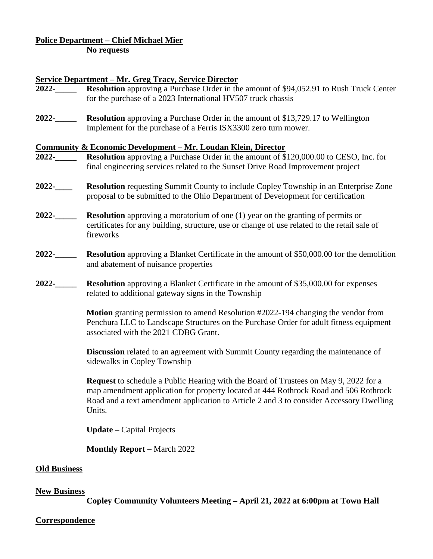# **Police Department – Chief Michael Mier**

**No requests**

# **Service Department – Mr. Greg Tracy, Service Director**

- **2022-\_\_\_\_\_ Resolution** approving a Purchase Order in the amount of \$94,052.91 to Rush Truck Center for the purchase of a 2023 International HV507 truck chassis
- **2022-\_\_\_\_\_ Resolution** approving a Purchase Order in the amount of \$13,729.17 to Wellington Implement for the purchase of a Ferris ISX3300 zero turn mower.

#### **Community & Economic Development – Mr. Loudan Klein, Director**

- **2022-\_\_\_\_\_ Resolution** approving a Purchase Order in the amount of \$120,000.00 to CESO, Inc. for final engineering services related to the Sunset Drive Road Improvement project
- **2022-\_\_\_\_ Resolution** requesting Summit County to include Copley Township in an Enterprise Zone proposal to be submitted to the Ohio Department of Development for certification
- **2022-\_\_\_\_\_ Resolution** approving a moratorium of one (1) year on the granting of permits or certificates for any building, structure, use or change of use related to the retail sale of fireworks
- **2022-\_\_\_\_\_ Resolution** approving a Blanket Certificate in the amount of \$50,000.00 for the demolition and abatement of nuisance properties
- **2022-\_\_\_\_\_ Resolution** approving a Blanket Certificate in the amount of \$35,000.00 for expenses related to additional gateway signs in the Township

**Motion** granting permission to amend Resolution #2022-194 changing the vendor from Penchura LLC to Landscape Structures on the Purchase Order for adult fitness equipment associated with the 2021 CDBG Grant.

**Discussion** related to an agreement with Summit County regarding the maintenance of sidewalks in Copley Township

**Request** to schedule a Public Hearing with the Board of Trustees on May 9, 2022 for a map amendment application for property located at 444 Rothrock Road and 506 Rothrock Road and a text amendment application to Article 2 and 3 to consider Accessory Dwelling Units.

**Update –** Capital Projects

**Monthly Report –** March 2022

#### **Old Business**

#### **New Business**

**Copley Community Volunteers Meeting – April 21, 2022 at 6:00pm at Town Hall**

#### **Correspondence**